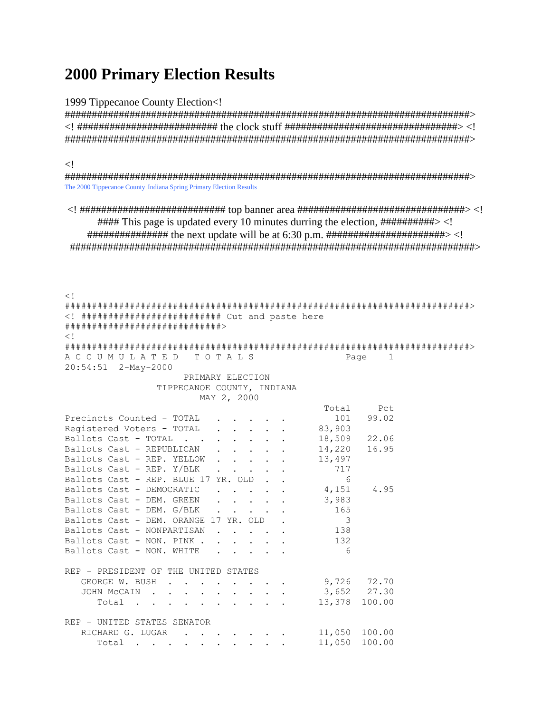## **2000 Primary Election Results**

## 1999 Tippecanoe County Election<!

## $\langle$ !

The 2000 Tippecanoe County Indiana Spring Primary Election Results

 $\lt$  1 <! ########################## Cut and paste here  $\lt$   $\vdash$ ACCUMULATED TOTALS Page 1 20:54:51 2-May-2000 PRIMARY ELECTION TIPPECANOE COUNTY, INDIANA MAY 2, 2000 Pct Total 101 99.02 Precincts Counted - TOTAL . . .  $\sim$ Reqistered Voters - TOTAL . . . . . 83,903 18,509 22.06 Ballots Cast - TOTAL . . . . . . . 14,220 16.95<br>13,497 Ballots Cast - REPUBLICAN . . . . . Ballots Cast - REP. YELLOW . . . . . Ballots Cast - REP. Y/BLK  $\mathcal{A}^{\mathcal{A}}$  ,  $\mathcal{A}^{\mathcal{A}}$  ,  $\mathcal{A}^{\mathcal{A}}$ 717 Ballots Cast - REP. BLUE 17 YR. OLD.  $6\overline{6}$  $\sim$ 4,151<br>3,983 Ballots Cast - DEMOCRATIC . . . . 4.95  $\sim 10^{-11}$ Ballots Cast - DEM. GREEN  $\mathcal{L}(\mathcal{A})$  . The contribution of  $\mathcal{A}(\mathcal{A})$ 165 Ballots Cast - DEM. G/BLK . . . . . Ballots Cast - DEM. ORANGE 17 YR. OLD.  $\overline{\mathbf{3}}$ Ballots Cast - NONPARTISAN . . . . . 138 Ballots Cast - NON. PINK . . 132  $\mathbf{L} = \mathbf{L}$  $\sim$ Ballots Cast - NON. WHITE 6 REP - PRESIDENT OF THE UNITED STATES GEORGE W. BUSH . . . . . . . . 9.726 72.70 3,652 27.30 JOHN McCAIN . . . . . . . . . Total . . . . 13,378 100.00 REP - UNITED STATES SENATOR RICHARD G. LUGAR (CORPERDIAL CORPERDIAL CORPERDIAL CORPERDIAL CORPERDIAL CORPERDIAL CORPERDIAL CORPERDIAL CORPERDIAL CORPERDIAL CORPERDIAL CORPERDIAL CORPERDIAL CORPERDIAL CORPERDIAL CORPERDIAL CORPERDIAL CORPERDIAL CORPER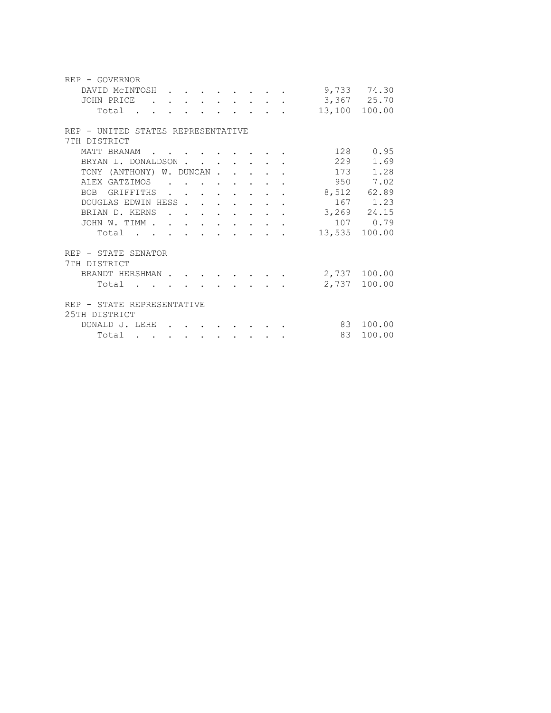| REP - GOVERNOR                              |                |                                                    |                                        |                             |  |             |               |
|---------------------------------------------|----------------|----------------------------------------------------|----------------------------------------|-----------------------------|--|-------------|---------------|
| DAVID MCINTOSH                              |                |                                                    |                                        |                             |  |             | 9,733 74.30   |
| JOHN PRICE                                  |                |                                                    |                                        |                             |  | 3,367 25.70 |               |
| Total.                                      |                |                                                    |                                        |                             |  |             | 13,100 100.00 |
| REP - UNITED STATES REPRESENTATIVE          |                |                                                    |                                        |                             |  |             |               |
| 7TH DISTRICT                                |                |                                                    |                                        |                             |  |             |               |
| MATT BRANAM                                 |                |                                                    |                                        |                             |  | 128         | 0.95          |
| BRYAN L. DONALDSON .                        |                |                                                    | $\sim$ $\sim$                          | $\sim$ $\sim$ $\sim$ $\sim$ |  | 229         | 1.69          |
| TONY (ANTHONY) W. DUNCAN                    |                |                                                    |                                        |                             |  |             | 173 1.28      |
| ALEX GATZIMOS                               |                |                                                    |                                        |                             |  |             | 950 7.02      |
| BOB GRIFFITHS                               |                | $\mathbf{r}$ , and $\mathbf{r}$ , and $\mathbf{r}$ |                                        |                             |  |             | 8,512 62.89   |
| DOUGLAS EDWIN HESS                          |                |                                                    |                                        |                             |  |             | 167 1.23      |
| BRIAN D. KERNS                              |                |                                                    |                                        | $\sim$                      |  | 3,269       | 24.15         |
| JOHN W. TIMM .                              | $\overline{a}$ | $\sim$                                             | $\mathbf{r}$ . The set of $\mathbf{r}$ | $\sim$                      |  |             | 107 0.79      |
| Total                                       |                |                                                    |                                        | $\sim$                      |  |             | 13,535 100.00 |
| REP - STATE SENATOR                         |                |                                                    |                                        |                             |  |             |               |
| 7TH DISTRICT                                |                |                                                    |                                        |                             |  |             |               |
| BRANDT HERSHMAN.                            |                |                                                    |                                        |                             |  |             | 2,737 100.00  |
| Total                                       |                |                                                    |                                        |                             |  |             | 2,737 100.00  |
| REP - STATE REPRESENTATIVE<br>25TH DISTRICT |                |                                                    |                                        |                             |  |             |               |
| DONALD J. LEHE                              |                |                                                    |                                        |                             |  |             | 83 100.00     |
| Total                                       |                |                                                    |                                        |                             |  | 83          | 100.00        |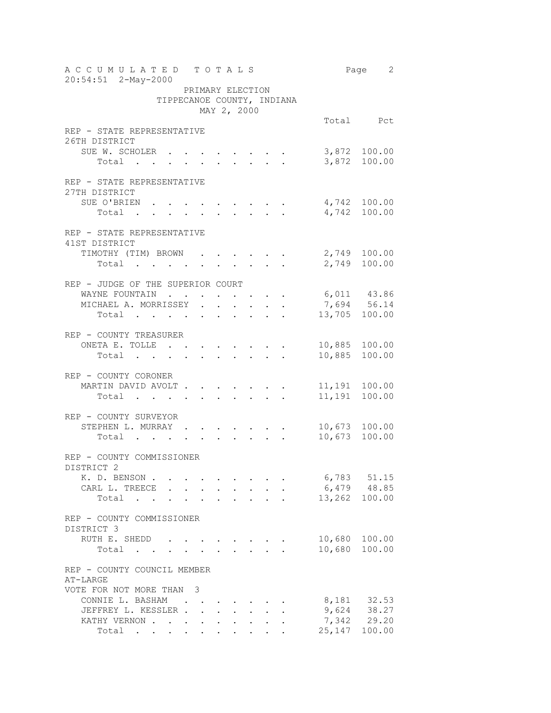|            | A C C U M U L A T E D T O T A L S<br>20:54:51 2-May-2000 |                      |           |                          |              |              |                 |                            |                                  | Page 2                     |
|------------|----------------------------------------------------------|----------------------|-----------|--------------------------|--------------|--------------|-----------------|----------------------------|----------------------------------|----------------------------|
|            |                                                          |                      |           | PRIMARY ELECTION         |              |              |                 |                            |                                  |                            |
|            |                                                          |                      |           |                          |              |              |                 | TIPPECANOE COUNTY, INDIANA |                                  |                            |
|            |                                                          |                      |           |                          |              | MAY 2, 2000  |                 |                            |                                  |                            |
|            |                                                          |                      |           |                          |              |              |                 |                            |                                  | Total Pct                  |
|            | REP - STATE REPRESENTATIVE                               |                      |           |                          |              |              |                 |                            |                                  |                            |
|            | 26TH DISTRICT                                            |                      |           |                          |              |              |                 |                            |                                  |                            |
|            | SUE W. SCHOLER                                           |                      |           |                          |              |              |                 |                            |                                  | 3,872 100.00               |
|            | Total                                                    |                      |           |                          |              |              | $\cdot$ $\cdot$ |                            |                                  | 3,872 100.00               |
|            |                                                          |                      |           |                          |              |              |                 |                            |                                  |                            |
|            | REP - STATE REPRESENTATIVE<br>27TH DISTRICT              |                      |           |                          |              |              |                 |                            |                                  |                            |
|            | SUE O'BRIEN                                              |                      |           |                          |              |              |                 |                            | $4,742$ 100.00                   |                            |
|            | Total                                                    |                      |           |                          |              |              |                 |                            | 4,742 100.00                     |                            |
|            |                                                          |                      |           |                          |              |              |                 |                            |                                  |                            |
|            | REP - STATE REPRESENTATIVE                               |                      |           |                          |              |              |                 |                            |                                  |                            |
|            | 41ST DISTRICT                                            |                      |           |                          |              |              |                 |                            |                                  |                            |
|            | TIMOTHY (TIM) BROWN                                      |                      |           |                          |              |              |                 |                            |                                  | 2,749 100.00               |
|            | Total                                                    |                      |           |                          |              |              |                 |                            |                                  | 2,749 100.00               |
|            |                                                          |                      |           |                          |              |              |                 |                            |                                  |                            |
|            | REP - JUDGE OF THE SUPERIOR COURT                        |                      |           |                          |              |              |                 |                            |                                  |                            |
|            |                                                          |                      |           |                          |              |              |                 |                            | WAYNE FOUNTAIN 6,011 43.86       |                            |
|            |                                                          |                      |           |                          |              |              |                 |                            | MICHAEL A. MORRISSEY 7,694 56.14 |                            |
|            | Total                                                    |                      |           |                          |              |              |                 |                            |                                  | 13,705 100.00              |
|            |                                                          |                      |           |                          |              |              |                 |                            |                                  |                            |
|            | REP - COUNTY TREASURER                                   |                      |           |                          |              |              |                 |                            |                                  |                            |
|            | ONETA E. TOLLE                                           |                      |           |                          |              |              |                 |                            |                                  | 10,885 100.00              |
|            | Total                                                    | $\ddot{\phantom{0}}$ |           | $\mathbf{r}$             |              | $\sim$       |                 |                            | 10,885                           | 100.00                     |
|            |                                                          |                      |           |                          |              |              |                 |                            |                                  |                            |
|            | REP - COUNTY CORONER                                     |                      |           |                          |              |              |                 |                            |                                  |                            |
|            | MARTIN DAVID AVOLT                                       |                      |           |                          |              |              |                 |                            |                                  | 11,191 100.00              |
|            | Total                                                    |                      |           |                          |              |              |                 |                            | 11,191                           | 100.00                     |
|            | REP - COUNTY SURVEYOR                                    |                      |           |                          |              |              |                 |                            |                                  |                            |
|            | STEPHEN L. MURRAY                                        |                      |           |                          |              |              |                 |                            |                                  | 10,673 100.00              |
|            | Total                                                    | $\sim$               |           |                          |              |              |                 |                            |                                  | 10,673 100.00              |
|            |                                                          |                      |           |                          |              |              |                 |                            |                                  |                            |
|            | REP - COUNTY COMMISSIONER                                |                      |           |                          |              |              |                 |                            |                                  |                            |
| DISTRICT 2 |                                                          |                      |           |                          |              |              |                 |                            |                                  |                            |
|            | K. D. BENSON .                                           |                      |           |                          |              |              |                 |                            |                                  | 6,783 51.15                |
|            | CARL L. TREECE                                           |                      |           | <b>Contract Contract</b> |              |              |                 |                            |                                  | 6,479 48.85                |
|            | Total                                                    |                      |           |                          |              |              |                 |                            |                                  | 13,262 100.00              |
|            |                                                          |                      |           |                          |              |              |                 |                            |                                  |                            |
|            | REP - COUNTY COMMISSIONER                                |                      |           |                          |              |              |                 |                            |                                  |                            |
| DISTRICT 3 |                                                          |                      |           |                          |              |              |                 |                            |                                  |                            |
|            | RUTH E. SHEDD                                            |                      |           |                          |              |              |                 |                            |                                  | 10,680 100.00              |
|            | Total                                                    | $\sim$               |           |                          |              |              |                 |                            |                                  | 10,680 100.00              |
|            |                                                          |                      |           |                          |              |              |                 |                            |                                  |                            |
|            | REP - COUNTY COUNCIL MEMBER                              |                      |           |                          |              |              |                 |                            |                                  |                            |
| AT-LARGE   |                                                          |                      |           |                          |              |              |                 |                            |                                  |                            |
|            | VOTE FOR NOT MORE THAN                                   |                      |           | 3                        |              |              |                 |                            |                                  |                            |
|            | CONNIE L. BASHAM                                         |                      |           |                          |              |              |                 |                            |                                  | 8,181 32.53                |
|            | JEFFREY L. KESSLER .                                     |                      |           | $\ddot{\phantom{a}}$     |              |              |                 |                            |                                  | 9,624 38.27<br>7,342 29.20 |
|            | KATHY VERNON                                             |                      | $\bullet$ |                          |              |              |                 |                            |                                  |                            |
|            | Total                                                    |                      |           | $\sim$                   | $\mathbf{L}$ | $\mathbf{L}$ |                 |                            | 25,147                           | 100.00                     |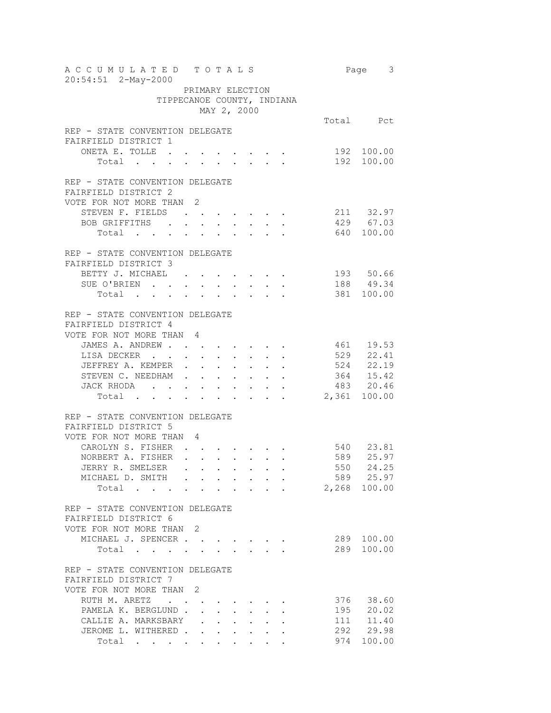| ACCUMULATED TOTALS<br>20:54:51 2-May-2000                                           |                                                                                            |                                                           |  |                        | Page 3                 |
|-------------------------------------------------------------------------------------|--------------------------------------------------------------------------------------------|-----------------------------------------------------------|--|------------------------|------------------------|
| TIPPECANOE COUNTY, INDIANA                                                          | PRIMARY ELECTION                                                                           |                                                           |  |                        |                        |
|                                                                                     | MAY 2, 2000                                                                                |                                                           |  |                        |                        |
|                                                                                     |                                                                                            |                                                           |  |                        | Total Pct              |
| REP - STATE CONVENTION DELEGATE<br>FAIRFIELD DISTRICT 1                             |                                                                                            |                                                           |  |                        |                        |
| ONETA E. TOLLE                                                                      |                                                                                            |                                                           |  |                        | 192 100.00             |
| Total $\cdot$                                                                       |                                                                                            |                                                           |  | 192 100.00             |                        |
|                                                                                     |                                                                                            |                                                           |  |                        |                        |
| REP - STATE CONVENTION DELEGATE<br>FAIRFIELD DISTRICT 2<br>VOTE FOR NOT MORE THAN 2 |                                                                                            |                                                           |  |                        |                        |
| STEVEN F. FIELDS                                                                    |                                                                                            |                                                           |  | 211 32.97              |                        |
| BOB GRIFFITHS 429 67.03                                                             |                                                                                            |                                                           |  |                        |                        |
| Total 640 100.00                                                                    |                                                                                            |                                                           |  |                        |                        |
|                                                                                     |                                                                                            |                                                           |  |                        |                        |
| REP - STATE CONVENTION DELEGATE<br>FAIRFIELD DISTRICT 3                             |                                                                                            |                                                           |  |                        |                        |
| BETTY J. MICHAEL                                                                    |                                                                                            |                                                           |  | 193 50.66              |                        |
| SUE O'BRIEN                                                                         | $\mathbf{r} = \mathbf{r} + \mathbf{r} + \mathbf{r} + \mathbf{r} + \mathbf{r} + \mathbf{r}$ |                                                           |  | 188 49.34              |                        |
| Total                                                                               | $\ddot{\phantom{a}}$                                                                       |                                                           |  |                        | 381 100.00             |
| REP - STATE CONVENTION DELEGATE                                                     |                                                                                            |                                                           |  |                        |                        |
| FAIRFIELD DISTRICT 4                                                                |                                                                                            |                                                           |  |                        |                        |
| VOTE FOR NOT MORE THAN 4                                                            |                                                                                            |                                                           |  |                        |                        |
| JAMES A. ANDREW                                                                     |                                                                                            |                                                           |  |                        | 461 19.53              |
| LISA DECKER                                                                         |                                                                                            |                                                           |  |                        | 529 22.41<br>524 22.19 |
|                                                                                     |                                                                                            |                                                           |  |                        | 364 15.42              |
| JEFFREY A. KEMPER<br>STEVEN C. NEEDHAM<br>JACK RHODA                                |                                                                                            |                                                           |  | 483 20.46              |                        |
| Total                                                                               |                                                                                            |                                                           |  | 2,361 100.00           |                        |
|                                                                                     |                                                                                            |                                                           |  |                        |                        |
| REP - STATE CONVENTION DELEGATE<br>FAIRFIELD DISTRICT 5                             |                                                                                            |                                                           |  |                        |                        |
| VOTE FOR NOT MORE THAN 4                                                            |                                                                                            |                                                           |  |                        |                        |
| CAROLYN S. FISHER                                                                   |                                                                                            |                                                           |  |                        |                        |
| NORBERT A. FISHER                                                                   |                                                                                            |                                                           |  | 540 23.81<br>589 25.97 |                        |
| JERRY R. SMELSER                                                                    |                                                                                            |                                                           |  |                        | 550 24.25              |
| MICHAEL D. SMITH                                                                    |                                                                                            |                                                           |  |                        | 589 25.97              |
| Total                                                                               |                                                                                            |                                                           |  | 2,268 100.00           |                        |
| REP - STATE CONVENTION DELEGATE<br>FAIRFIELD DISTRICT 6                             |                                                                                            |                                                           |  |                        |                        |
| VOTE FOR NOT MORE THAN 2                                                            |                                                                                            |                                                           |  |                        |                        |
| MICHAEL J. SPENCER                                                                  |                                                                                            |                                                           |  |                        | 289 100.00             |
| Total                                                                               |                                                                                            |                                                           |  |                        | 289 100.00             |
|                                                                                     |                                                                                            |                                                           |  |                        |                        |
| REP - STATE CONVENTION DELEGATE<br>FAIRFIELD DISTRICT 7<br>VOTE FOR NOT MORE THAN 2 |                                                                                            |                                                           |  |                        |                        |
| RUTH M. ARETZ                                                                       |                                                                                            |                                                           |  |                        | 376 38.60              |
| PAMELA K. BERGLUND. .                                                               |                                                                                            | $\mathbf{L}^{\text{max}}$ , and $\mathbf{L}^{\text{max}}$ |  |                        | 195 20.02              |
| CALLIE A. MARKSBARY                                                                 |                                                                                            |                                                           |  |                        | $111$ $11.40$          |
| JEROME L. WITHERED                                                                  |                                                                                            |                                                           |  |                        | 292 29.98              |
| Total                                                                               |                                                                                            |                                                           |  |                        | 974 100.00             |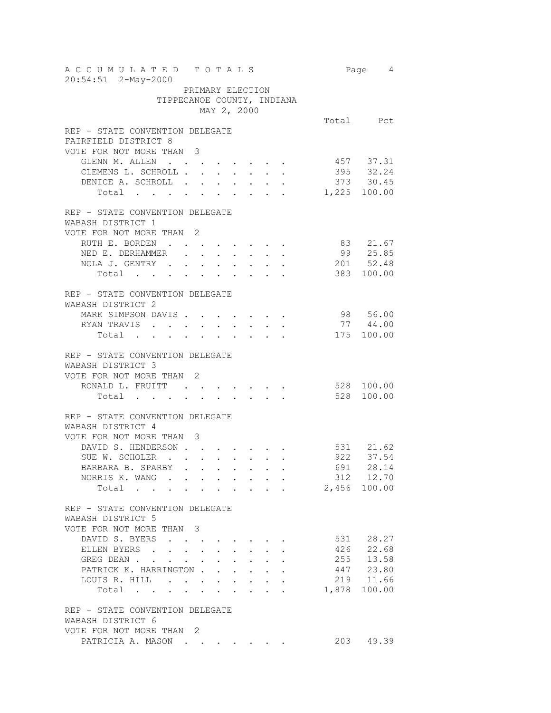| A C C U M U L A T E D T O T A L S<br>20:54:51 2-May-2000                                                                          |                                                                                                                 | Page 4                 |              |        |                                                       |                                                                  |              |                        |
|-----------------------------------------------------------------------------------------------------------------------------------|-----------------------------------------------------------------------------------------------------------------|------------------------|--------------|--------|-------------------------------------------------------|------------------------------------------------------------------|--------------|------------------------|
|                                                                                                                                   | PRIMARY ELECTION                                                                                                |                        |              |        |                                                       |                                                                  |              |                        |
| TIPPECANOE COUNTY, INDIANA                                                                                                        |                                                                                                                 |                        |              |        |                                                       |                                                                  |              |                        |
|                                                                                                                                   |                                                                                                                 | MAY 2, 2000            |              |        |                                                       |                                                                  |              |                        |
|                                                                                                                                   |                                                                                                                 |                        |              |        |                                                       |                                                                  |              | Total Pct              |
| REP - STATE CONVENTION DELEGATE                                                                                                   |                                                                                                                 |                        |              |        |                                                       |                                                                  |              |                        |
| FAIRFIELD DISTRICT 8                                                                                                              |                                                                                                                 |                        |              |        |                                                       |                                                                  |              |                        |
| VOTE FOR NOT MORE THAN 3                                                                                                          |                                                                                                                 |                        |              |        |                                                       |                                                                  |              |                        |
| GLENN M. ALLEN                                                                                                                    |                                                                                                                 |                        |              |        |                                                       |                                                                  |              | 457 37.31              |
| CLEMENS L. SCHROLL                                                                                                                |                                                                                                                 | $\sim 10^{-11}$        | $\mathbf{L}$ |        | $\mathbf{r}$ , $\mathbf{r}$ , $\mathbf{r}$            |                                                                  |              | 395 32.24              |
| DENICE A. SCHROLL                                                                                                                 |                                                                                                                 |                        |              |        |                                                       |                                                                  |              | 373 30.45              |
| Total                                                                                                                             |                                                                                                                 |                        |              |        |                                                       |                                                                  | 1,225 100.00 |                        |
|                                                                                                                                   |                                                                                                                 |                        |              |        |                                                       |                                                                  |              |                        |
| REP - STATE CONVENTION DELEGATE                                                                                                   |                                                                                                                 |                        |              |        |                                                       |                                                                  |              |                        |
| WABASH DISTRICT 1                                                                                                                 |                                                                                                                 |                        |              |        |                                                       |                                                                  |              |                        |
| VOTE FOR NOT MORE THAN 2                                                                                                          |                                                                                                                 |                        |              |        |                                                       |                                                                  |              |                        |
| RUTH E. BORDEN                                                                                                                    |                                                                                                                 |                        |              |        |                                                       |                                                                  |              | 83 21.67               |
| NED E. DERHAMMER.                                                                                                                 | $\ddot{\phantom{0}}$                                                                                            |                        |              |        |                                                       |                                                                  |              | 99 25.85               |
| NOLA J. GENTRY                                                                                                                    |                                                                                                                 |                        |              |        |                                                       |                                                                  |              | 201 52.48              |
| Total                                                                                                                             |                                                                                                                 |                        |              |        |                                                       |                                                                  |              | 383 100.00             |
|                                                                                                                                   |                                                                                                                 |                        |              |        |                                                       |                                                                  |              |                        |
| REP - STATE CONVENTION DELEGATE                                                                                                   |                                                                                                                 |                        |              |        |                                                       |                                                                  |              |                        |
| WABASH DISTRICT 2                                                                                                                 |                                                                                                                 |                        |              |        |                                                       |                                                                  |              |                        |
| MARK SIMPSON DAVIS                                                                                                                |                                                                                                                 |                        |              |        |                                                       |                                                                  |              | 98 56.00               |
| RYAN TRAVIS                                                                                                                       |                                                                                                                 |                        |              |        |                                                       |                                                                  |              | 77 44.00<br>175 100.00 |
| Total .<br>$\ddot{\phantom{0}}$<br>$\sim$                                                                                         |                                                                                                                 | <b>Service Control</b> |              |        |                                                       |                                                                  |              |                        |
|                                                                                                                                   |                                                                                                                 |                        |              |        |                                                       |                                                                  |              |                        |
| REP - STATE CONVENTION DELEGATE                                                                                                   |                                                                                                                 |                        |              |        |                                                       |                                                                  |              |                        |
| WABASH DISTRICT 3                                                                                                                 |                                                                                                                 |                        |              |        |                                                       |                                                                  |              |                        |
| VOTE FOR NOT MORE THAN 2                                                                                                          |                                                                                                                 |                        |              |        |                                                       |                                                                  |              |                        |
| RONALD L. FRUITT                                                                                                                  |                                                                                                                 |                        |              |        |                                                       |                                                                  | 528 100.00   |                        |
| Total                                                                                                                             |                                                                                                                 |                        |              |        |                                                       |                                                                  |              | 528 100.00             |
|                                                                                                                                   |                                                                                                                 |                        |              |        |                                                       |                                                                  |              |                        |
| REP - STATE CONVENTION DELEGATE                                                                                                   |                                                                                                                 |                        |              |        |                                                       |                                                                  |              |                        |
| WABASH DISTRICT 4                                                                                                                 |                                                                                                                 |                        |              |        |                                                       |                                                                  |              |                        |
| VOTE FOR NOT MORE THAN 3                                                                                                          |                                                                                                                 |                        |              |        |                                                       |                                                                  |              |                        |
| DAVID S. HENDERSON                                                                                                                |                                                                                                                 |                        |              |        |                                                       |                                                                  | 531 21.62    |                        |
| SUE W. SCHOLER<br>the contract of the contract of the contract of the contract of the contract of the contract of the contract of |                                                                                                                 |                        |              |        |                                                       |                                                                  | 922 37.54    |                        |
| BARBARA B. SPARBY                                                                                                                 | the contract of the contract of the contract of the contract of the contract of the contract of the contract of |                        |              |        |                                                       |                                                                  |              | 691 28.14              |
| NORRISK. WANG                                                                                                                     |                                                                                                                 |                        |              |        |                                                       |                                                                  |              | 312 12.70              |
| Total                                                                                                                             |                                                                                                                 |                        |              |        |                                                       |                                                                  | 2,456 100.00 |                        |
|                                                                                                                                   |                                                                                                                 |                        |              |        |                                                       |                                                                  |              |                        |
| REP - STATE CONVENTION DELEGATE                                                                                                   |                                                                                                                 |                        |              |        |                                                       |                                                                  |              |                        |
| WABASH DISTRICT 5                                                                                                                 |                                                                                                                 |                        |              |        |                                                       |                                                                  |              |                        |
| VOTE FOR NOT MORE THAN 3                                                                                                          |                                                                                                                 |                        |              |        |                                                       |                                                                  |              |                        |
| DAVID S. BYERS                                                                                                                    |                                                                                                                 |                        |              |        |                                                       |                                                                  | 531          | 28.27                  |
| ELLEN BYERS                                                                                                                       |                                                                                                                 |                        | $\mathbf{L}$ |        |                                                       |                                                                  | 426          | 22.68                  |
| GREG DEAN                                                                                                                         | $\bullet$ .                                                                                                     | $\ddotsc$              | $\mathbf{L}$ | $\sim$ | $\mathbf{L}$                                          |                                                                  | 255          | 13.58                  |
| PATRICK K. HARRINGTON                                                                                                             |                                                                                                                 |                        |              |        |                                                       | $\mathbf{r} = \mathbf{r} + \mathbf{r} + \mathbf{r} + \mathbf{r}$ | 447 23.80    |                        |
| LOUIS R. HILL                                                                                                                     |                                                                                                                 |                        |              |        | $\mathbf{z} = \mathbf{z} + \mathbf{z} + \mathbf{z}$ . |                                                                  |              | 219 11.66              |
| Total                                                                                                                             |                                                                                                                 |                        |              |        |                                                       | $\mathbf{r} = \mathbf{r} + \mathbf{r}$ .                         |              | 1,878 100.00           |
|                                                                                                                                   |                                                                                                                 |                        |              |        |                                                       |                                                                  |              |                        |
| REP - STATE CONVENTION DELEGATE                                                                                                   |                                                                                                                 |                        |              |        |                                                       |                                                                  |              |                        |
| WABASH DISTRICT 6                                                                                                                 |                                                                                                                 |                        |              |        |                                                       |                                                                  |              |                        |
| VOTE FOR NOT MORE THAN 2                                                                                                          |                                                                                                                 |                        |              |        |                                                       |                                                                  |              |                        |
| PATRICIA A. MASON                                                                                                                 |                                                                                                                 |                        |              |        |                                                       |                                                                  |              | 203 49.39              |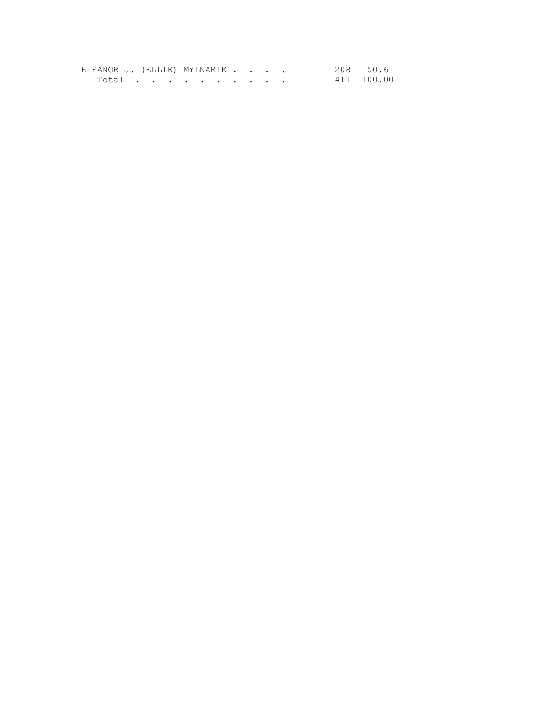| ELEANOR J. (ELLIE) MYLNARIK |  |  |  | 208 50.61  |
|-----------------------------|--|--|--|------------|
| Total                       |  |  |  | 411 100.00 |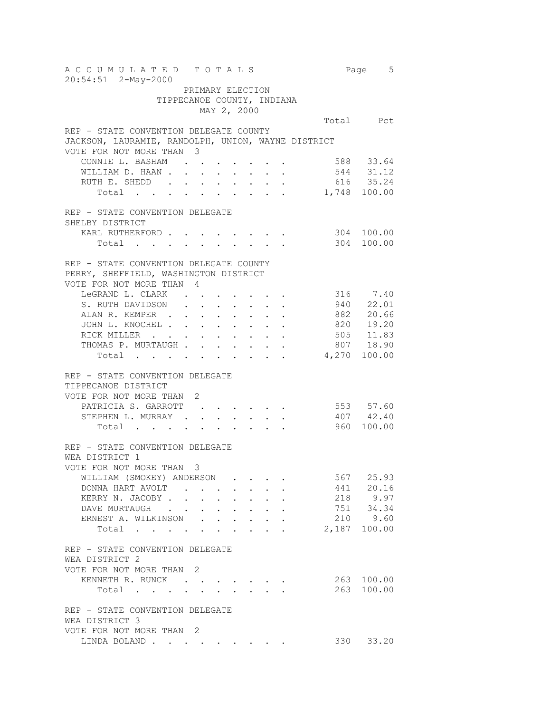| A C C U M U L A T E D T O T A L S<br>20:54:51 2-May-2000 |                                          | Page 5                     |                               |                                   |                      |     |                                         |  |
|----------------------------------------------------------|------------------------------------------|----------------------------|-------------------------------|-----------------------------------|----------------------|-----|-----------------------------------------|--|
|                                                          | PRIMARY ELECTION                         |                            |                               |                                   |                      |     |                                         |  |
| TIPPECANOE COUNTY, INDIANA                               |                                          |                            |                               |                                   |                      |     |                                         |  |
|                                                          | MAY 2, 2000                              |                            |                               |                                   |                      |     |                                         |  |
|                                                          |                                          |                            |                               |                                   |                      |     | Total Pct                               |  |
| REP - STATE CONVENTION DELEGATE COUNTY                   |                                          |                            |                               |                                   |                      |     |                                         |  |
| JACKSON, LAURAMIE, RANDOLPH, UNION, WAYNE DISTRICT       |                                          |                            |                               |                                   |                      |     |                                         |  |
| VOTE FOR NOT MORE THAN 3                                 |                                          |                            |                               |                                   |                      |     |                                         |  |
| CONNIE L. BASHAM                                         |                                          |                            |                               |                                   |                      |     | 588 33.64                               |  |
| WILLIAM D. HAAN                                          | $\sim 10^{-11}$                          |                            | $\mathbf{L}$ and $\mathbf{L}$ | $\sim$                            | $\ddot{\phantom{0}}$ |     | 544 31.12                               |  |
| RUTH E. SHEDD.                                           |                                          |                            |                               |                                   |                      |     | 616 35.24                               |  |
| Total                                                    |                                          |                            |                               |                                   |                      |     | 1,748 100.00                            |  |
|                                                          |                                          |                            |                               |                                   |                      |     |                                         |  |
| REP - STATE CONVENTION DELEGATE                          |                                          |                            |                               |                                   |                      |     |                                         |  |
| SHELBY DISTRICT                                          |                                          |                            |                               |                                   |                      |     |                                         |  |
| KARL RUTHERFORD                                          |                                          |                            |                               | and a series of the series of the |                      |     | 304 100.00                              |  |
| Total                                                    |                                          |                            |                               |                                   |                      |     | 304 100.00                              |  |
|                                                          |                                          |                            |                               |                                   |                      |     |                                         |  |
| REP - STATE CONVENTION DELEGATE COUNTY                   |                                          |                            |                               |                                   |                      |     |                                         |  |
| PERRY, SHEFFIELD, WASHINGTON DISTRICT                    |                                          |                            |                               |                                   |                      |     |                                         |  |
| VOTE FOR NOT MORE THAN 4                                 |                                          |                            |                               |                                   |                      |     |                                         |  |
| LeGRAND L. CLARK                                         |                                          |                            |                               |                                   |                      |     | 316 7.40                                |  |
| S. RUTH DAVIDSON                                         |                                          |                            |                               |                                   |                      | 940 | 22.01                                   |  |
| ALAN R. KEMPER                                           |                                          |                            |                               |                                   |                      |     | 882 20.66                               |  |
| JOHN L. KNOCHEL                                          |                                          |                            |                               |                                   |                      |     |                                         |  |
| RICK MILLER                                              | $\mathbf{r} = \mathbf{r} + \mathbf{r}$ . | $\mathcal{L}_{\text{max}}$ |                               | $\sim 10$                         |                      |     | 820 19.20<br>505 11.83                  |  |
| THOMAS P. MURTAUGH                                       | $\mathcal{L}_{\text{max}}$               |                            |                               | $\sim 10^{-10}$                   |                      |     | 807 18.90                               |  |
| Total                                                    |                                          |                            |                               | $\sim$ $\sim$                     | $\sim$               |     | 4,270 100.00                            |  |
|                                                          |                                          |                            |                               |                                   |                      |     |                                         |  |
| REP - STATE CONVENTION DELEGATE                          |                                          |                            |                               |                                   |                      |     |                                         |  |
| TIPPECANOE DISTRICT                                      |                                          |                            |                               |                                   |                      |     |                                         |  |
| VOTE FOR NOT MORE THAN 2                                 |                                          |                            |                               |                                   |                      |     |                                         |  |
| PATRICIA S. GARROTT                                      |                                          |                            |                               |                                   |                      |     | 553 57.60                               |  |
| STEPHEN L. MURRAY                                        |                                          |                            |                               |                                   |                      |     | $407$ $42.40$                           |  |
| Total                                                    |                                          |                            |                               |                                   |                      |     | 960 100.00                              |  |
|                                                          |                                          |                            |                               |                                   |                      |     |                                         |  |
| REP - STATE CONVENTION DELEGATE                          |                                          |                            |                               |                                   |                      |     |                                         |  |
| WEA DISTRICT 1                                           |                                          |                            |                               |                                   |                      |     |                                         |  |
| VOTE FOR NOT MORE THAN                                   |                                          |                            |                               |                                   |                      |     |                                         |  |
| WILLIAM (SMOKEY) ANDERSON                                |                                          |                            |                               |                                   |                      |     | 567 25.93                               |  |
| DONNA HART AVOLT                                         |                                          |                            |                               |                                   |                      |     | 441 20.16                               |  |
| KERRY N. JACOBY                                          | $\bullet$ . The set of $\bullet$         |                            |                               |                                   |                      |     |                                         |  |
| DAVE MURTAUGH                                            |                                          |                            |                               |                                   |                      |     |                                         |  |
| ERNEST A. WILKINSON                                      |                                          |                            |                               |                                   |                      |     | $218$ $9.97$<br>$751$ $34.34$<br>$9.60$ |  |
| Total                                                    |                                          |                            |                               |                                   |                      |     | 2,187 100.00                            |  |
|                                                          |                                          |                            |                               |                                   |                      |     |                                         |  |
| REP - STATE CONVENTION DELEGATE                          |                                          |                            |                               |                                   |                      |     |                                         |  |
| WEA DISTRICT 2                                           |                                          |                            |                               |                                   |                      |     |                                         |  |
| VOTE FOR NOT MORE THAN 2                                 |                                          |                            |                               |                                   |                      |     |                                         |  |
| KENNETH R. RUNCK                                         |                                          |                            |                               |                                   |                      |     | 263 100.00                              |  |
| Total                                                    |                                          |                            |                               |                                   |                      |     | 263 100.00                              |  |
|                                                          |                                          |                            |                               |                                   |                      |     |                                         |  |
| REP - STATE CONVENTION DELEGATE                          |                                          |                            |                               |                                   |                      |     |                                         |  |
| WEA DISTRICT 3                                           |                                          |                            |                               |                                   |                      |     |                                         |  |
| VOTE FOR NOT MORE THAN 2                                 |                                          |                            |                               |                                   |                      |     |                                         |  |
| LINDA BOLAND                                             |                                          |                            |                               |                                   |                      |     | 330 33.20                               |  |
|                                                          |                                          |                            |                               |                                   |                      |     |                                         |  |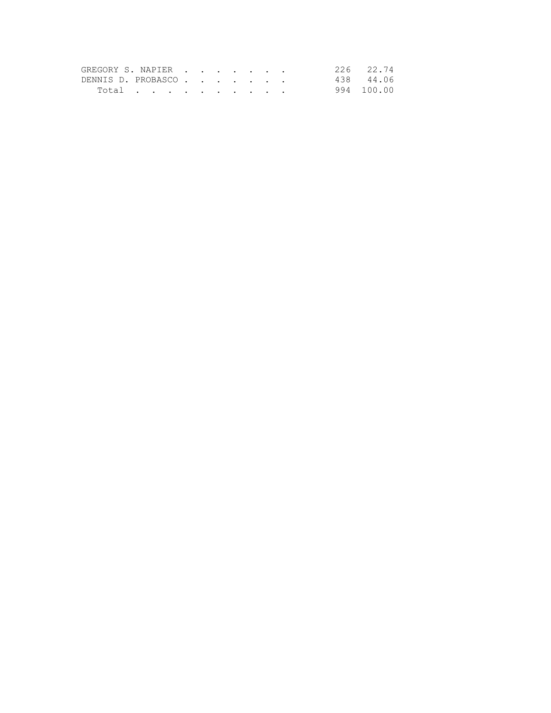| GREGORY S. NAPIER                                                       |  |  |  |  |  |  | 226 22.74  |
|-------------------------------------------------------------------------|--|--|--|--|--|--|------------|
| DENNIS D. PROBASCO                                                      |  |  |  |  |  |  | 438 44.06  |
| $Total \quad . \quad . \quad . \quad . \quad . \quad . \quad . \quad .$ |  |  |  |  |  |  | 994 100.00 |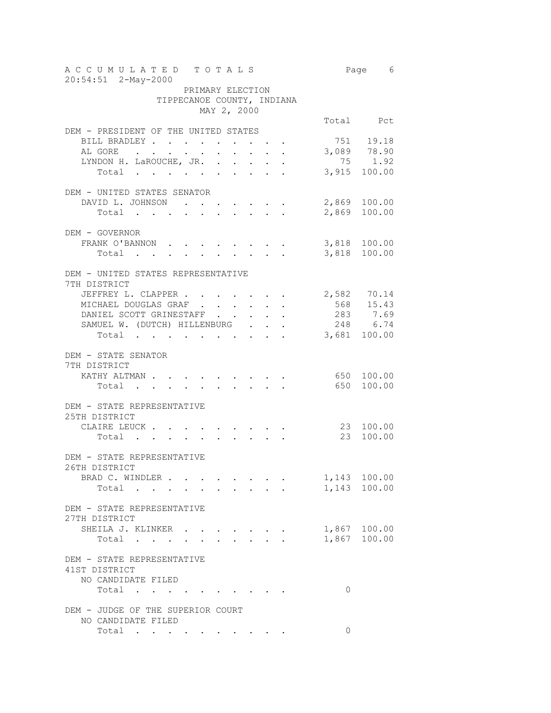| A C C U M U L A T E D T O T A L S<br>20:54:51 2-May-2000 |                                                                                    |  |        |                                                               |  |  |    | Page 6                       |  |
|----------------------------------------------------------|------------------------------------------------------------------------------------|--|--------|---------------------------------------------------------------|--|--|----|------------------------------|--|
|                                                          |                                                                                    |  |        | PRIMARY ELECTION<br>TIPPECANOE COUNTY, INDIANA<br>MAY 2, 2000 |  |  |    |                              |  |
|                                                          |                                                                                    |  |        |                                                               |  |  |    | Total Pct                    |  |
| DEM - PRESIDENT OF THE UNITED STATES<br>BILL BRADLEY     |                                                                                    |  |        |                                                               |  |  |    | 751 19.18                    |  |
| AL GORE 3,089 78.90                                      |                                                                                    |  |        |                                                               |  |  |    |                              |  |
| LYNDON H. LaROUCHE, JR.                                  |                                                                                    |  |        |                                                               |  |  |    |                              |  |
| Total                                                    |                                                                                    |  |        |                                                               |  |  |    | $75$ 1.92<br>3,915 100.00    |  |
| DEM - UNITED STATES SENATOR                              |                                                                                    |  |        |                                                               |  |  |    |                              |  |
| DAVID L. JOHNSON 2,869 100.00                            |                                                                                    |  |        |                                                               |  |  |    |                              |  |
| Total $\cdot$                                            |                                                                                    |  |        |                                                               |  |  |    | 2,869 100.00                 |  |
| DEM - GOVERNOR                                           |                                                                                    |  |        |                                                               |  |  |    |                              |  |
| FRANK O'BANNON                                           |                                                                                    |  |        |                                                               |  |  |    | 3,818 100.00                 |  |
| Total $\cdot$                                            |                                                                                    |  |        |                                                               |  |  |    | 3,818 100.00                 |  |
| DEM - UNITED STATES REPRESENTATIVE<br>7TH DISTRICT       |                                                                                    |  |        |                                                               |  |  |    |                              |  |
| JEFFREY L. CLAPPER 2,582 70.14                           |                                                                                    |  |        |                                                               |  |  |    |                              |  |
| MICHAEL DOUGLAS GRAF 568 15.43                           |                                                                                    |  |        |                                                               |  |  |    |                              |  |
| DANIEL SCOTT GRINESTAFF 283 7.69                         |                                                                                    |  |        |                                                               |  |  |    |                              |  |
| SAMUEL W. (DUTCH) HILLENBURG                             |                                                                                    |  |        |                                                               |  |  |    | 248 6.74                     |  |
| Total                                                    |                                                                                    |  |        |                                                               |  |  |    | 3,681 100.00                 |  |
| DEM - STATE SENATOR<br>7TH DISTRICT                      |                                                                                    |  |        |                                                               |  |  |    |                              |  |
| KATHY ALTMAN 650 100.00                                  |                                                                                    |  |        |                                                               |  |  |    |                              |  |
| Total                                                    |                                                                                    |  |        |                                                               |  |  |    | 650 100.00                   |  |
| DEM - STATE REPRESENTATIVE<br>25TH DISTRICT              |                                                                                    |  |        |                                                               |  |  |    |                              |  |
| CLAIRE LEUCK                                             |                                                                                    |  |        |                                                               |  |  |    | 23 100.00                    |  |
| Total                                                    |                                                                                    |  |        |                                                               |  |  | 23 | 100.00                       |  |
| DEM - STATE REPRESENTATIVE                               |                                                                                    |  |        |                                                               |  |  |    |                              |  |
| 26TH DISTRICT                                            |                                                                                    |  |        |                                                               |  |  |    |                              |  |
| BRAD C. WINDLER                                          |                                                                                    |  |        |                                                               |  |  |    | 1,143 100.00                 |  |
| Total                                                    |                                                                                    |  |        |                                                               |  |  |    | 1,143 100.00                 |  |
| DEM - STATE REPRESENTATIVE<br>27TH DISTRICT              |                                                                                    |  |        |                                                               |  |  |    |                              |  |
| SHEILA J. KLINKER                                        |                                                                                    |  |        |                                                               |  |  |    | 1,867 100.00<br>1,867 100.00 |  |
| Total                                                    |                                                                                    |  | $\sim$ |                                                               |  |  |    |                              |  |
| DEM - STATE REPRESENTATIVE                               |                                                                                    |  |        |                                                               |  |  |    |                              |  |
| 41ST DISTRICT<br>NO CANDIDATE FILED                      |                                                                                    |  |        |                                                               |  |  |    |                              |  |
| Total                                                    |                                                                                    |  |        |                                                               |  |  | 0  |                              |  |
|                                                          | $\mathcal{L}(\mathcal{A})$ . The contribution of the contribution of $\mathcal{A}$ |  |        |                                                               |  |  |    |                              |  |
| DEM - JUDGE OF THE SUPERIOR COURT<br>NO CANDIDATE FILED  |                                                                                    |  |        |                                                               |  |  |    |                              |  |
| Total                                                    |                                                                                    |  |        |                                                               |  |  | 0  |                              |  |
|                                                          |                                                                                    |  |        |                                                               |  |  |    |                              |  |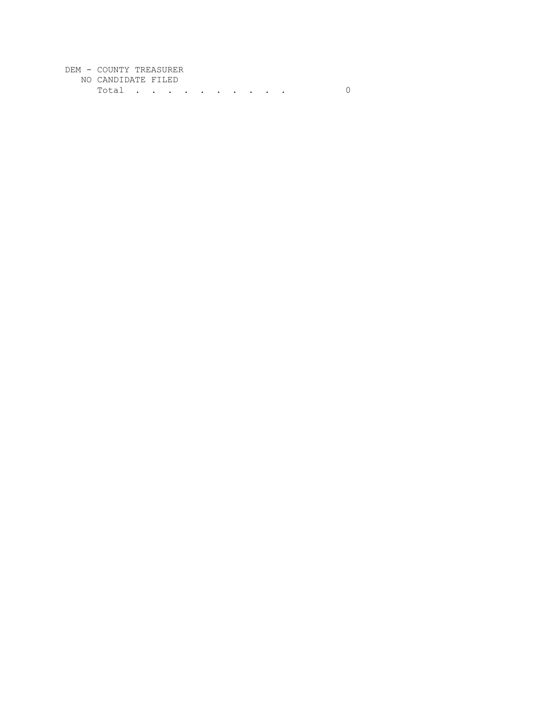## DEM - COUNTY TREASURER

NO CANDIDATE FILED

Total . . . . . . . . . 0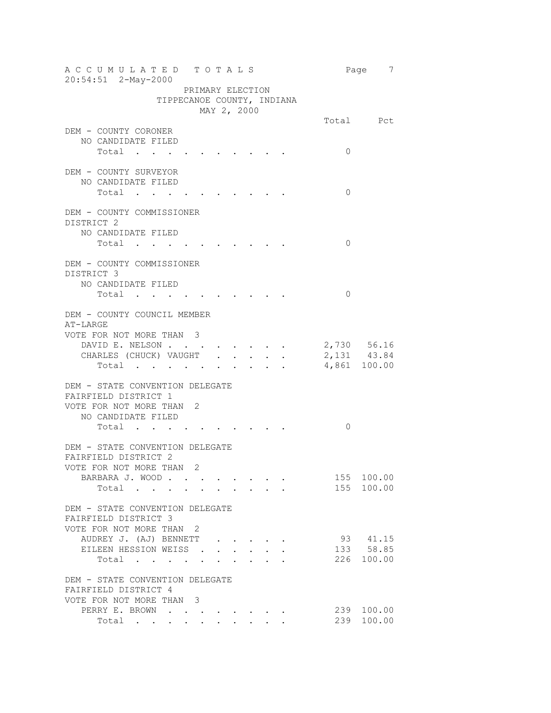| ACCUMULATED TOTALS<br>20:54:51 2-May-2000                                                                 |                             | Page 7                   |
|-----------------------------------------------------------------------------------------------------------|-----------------------------|--------------------------|
| PRIMARY ELECTION<br>TIPPECANOE COUNTY, INDIANA                                                            |                             |                          |
| MAY 2, 2000                                                                                               |                             |                          |
| DEM - COUNTY CORONER<br>NO CANDIDATE FILED                                                                |                             | Total Pct                |
| Total<br>$\mathbf{r}$ , $\mathbf{r}$ , $\mathbf{r}$ , $\mathbf{r}$                                        | $\Omega$                    |                          |
| DEM - COUNTY SURVEYOR<br>NO CANDIDATE FILED<br>Total                                                      | $\Omega$                    |                          |
| DEM - COUNTY COMMISSIONER<br>DISTRICT <sub>2</sub>                                                        |                             |                          |
| NO CANDIDATE FILED<br>Total                                                                               | $\Omega$                    |                          |
| DEM - COUNTY COMMISSIONER<br>DISTRICT 3                                                                   |                             |                          |
| NO CANDIDATE FILED<br>Total                                                                               | 0                           |                          |
| DEM - COUNTY COUNCIL MEMBER<br>AT-LARGE                                                                   |                             |                          |
| VOTE FOR NOT MORE THAN 3                                                                                  |                             |                          |
| DAVID E. NELSON                                                                                           |                             | 2,730 56.16              |
| CHARLES (CHUCK) VAUGHT.                                                                                   | 2,131 43.84<br>4,861 100.00 |                          |
| Total .                                                                                                   |                             |                          |
| DEM - STATE CONVENTION DELEGATE<br>FAIRFIELD DISTRICT 1<br>VOTE FOR NOT MORE THAN 2<br>NO CANDIDATE FILED |                             |                          |
| Total                                                                                                     | 0                           |                          |
| DEM - STATE CONVENTION DELEGATE<br>FAIRFIELD DISTRICT 2                                                   |                             |                          |
| VOTE FOR NOT MORE THAN                                                                                    |                             |                          |
| BARBARA J. WOOD<br>$\mathbf{r}$ , $\mathbf{r}$ , $\mathbf{r}$ , $\mathbf{r}$                              |                             | 155 100.00<br>155 100.00 |
| $\texttt{Total}$                                                                                          |                             |                          |
| DEM - STATE CONVENTION DELEGATE<br>FAIRFIELD DISTRICT 3<br>VOTE FOR NOT MORE THAN 2                       |                             |                          |
| AUDREY J. (AJ) BENNETT .                                                                                  |                             | 93 41.15                 |
| EILEEN HESSION WEISS.                                                                                     |                             | 133 58.85                |
| Total<br>$\sim$ $\sim$                                                                                    |                             | 226 100.00               |
| DEM - STATE CONVENTION DELEGATE                                                                           |                             |                          |
| FAIRFIELD DISTRICT 4                                                                                      |                             |                          |
| VOTE FOR NOT MORE THAN 3                                                                                  |                             |                          |
| PERRY E. BROWN                                                                                            |                             | 239 100.00               |
| Total                                                                                                     |                             | 239 100.00               |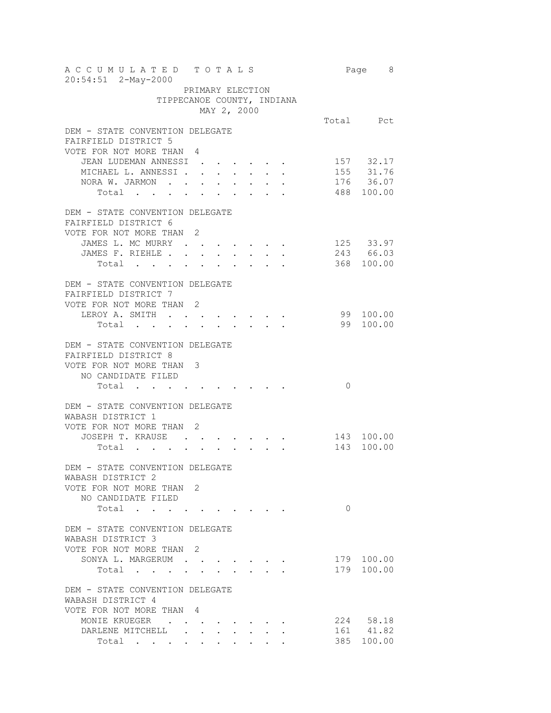| A C C U M U L A T E D T O T A L S<br>20:54:51 2-May-2000         |  |          | Page 8      |
|------------------------------------------------------------------|--|----------|-------------|
| PRIMARY ELECTION                                                 |  |          |             |
| TIPPECANOE COUNTY, INDIANA                                       |  |          |             |
| MAY 2, 2000                                                      |  |          |             |
|                                                                  |  |          | Total Pct   |
| DEM - STATE CONVENTION DELEGATE                                  |  |          |             |
| FAIRFIELD DISTRICT 5                                             |  |          |             |
| VOTE FOR NOT MORE THAN 4                                         |  |          |             |
|                                                                  |  |          | 157 32.17   |
| JEAN LUDEMAN ANNESSI                                             |  |          | 155 31.76   |
| MICHAEL L. ANNESSI<br>$\ddot{\phantom{0}}$                       |  |          |             |
| NORA W. JARMON                                                   |  |          | 176 36.07   |
| Total                                                            |  |          | 488 100.00  |
|                                                                  |  |          |             |
| DEM - STATE CONVENTION DELEGATE                                  |  |          |             |
| FAIRFIELD DISTRICT 6                                             |  |          |             |
| VOTE FOR NOT MORE THAN 2                                         |  |          |             |
| JAMES L. MC MURRY                                                |  |          | 125 33.97   |
| JAMES F. RIEHLE .<br>$\mathbf{L}^{\text{max}}$<br>$\sim$ $-$     |  |          | $243$ 66.03 |
| $\mathbf{L}^{\text{max}}$<br>Total                               |  |          | 368 100.00  |
|                                                                  |  |          |             |
| DEM - STATE CONVENTION DELEGATE                                  |  |          |             |
| FAIRFIELD DISTRICT 7                                             |  |          |             |
| VOTE FOR NOT MORE THAN 2                                         |  |          |             |
| LEROY A. SMITH                                                   |  |          | 99 100.00   |
| Total                                                            |  |          | 99 100.00   |
|                                                                  |  |          |             |
| DEM - STATE CONVENTION DELEGATE                                  |  |          |             |
| FAIRFIELD DISTRICT 8                                             |  |          |             |
| VOTE FOR NOT MORE THAN 3                                         |  |          |             |
| NO CANDIDATE FILED                                               |  |          |             |
| Total<br>والمعارف والمستحدث والمعارف والمستحدث                   |  | $\Omega$ |             |
|                                                                  |  |          |             |
| DEM - STATE CONVENTION DELEGATE                                  |  |          |             |
| WABASH DISTRICT 1                                                |  |          |             |
|                                                                  |  |          |             |
| VOTE FOR NOT MORE THAN 2<br>JOSEPH T. KRAUSE                     |  |          |             |
|                                                                  |  |          | 143 100.00  |
| Total                                                            |  |          | 143 100.00  |
|                                                                  |  |          |             |
| DEM - STATE CONVENTION DELEGATE                                  |  |          |             |
| WABASH DISTRICT 2                                                |  |          |             |
| VOTE FOR NOT MORE THAN 2                                         |  |          |             |
| NO CANDIDATE FILED                                               |  |          |             |
| Total                                                            |  | 0        |             |
|                                                                  |  |          |             |
| DEM - STATE CONVENTION DELEGATE                                  |  |          |             |
| WABASH DISTRICT 3                                                |  |          |             |
| VOTE FOR NOT MORE THAN 2                                         |  |          |             |
| SONYA L. MARGERUM                                                |  |          | 179 100.00  |
| Total $\cdots$                                                   |  |          | 179 100.00  |
|                                                                  |  |          |             |
| DEM - STATE CONVENTION DELEGATE                                  |  |          |             |
| WABASH DISTRICT 4                                                |  |          |             |
| VOTE FOR NOT MORE THAN 4                                         |  |          |             |
| MONIE KRUEGER<br><b>Contract Contract Contract</b><br>$\sim$ $-$ |  |          | 224 58.18   |
| DARLENE MITCHELL<br>$\mathbf{r}$                                 |  |          | 161 41.82   |
| Total                                                            |  |          | 385 100.00  |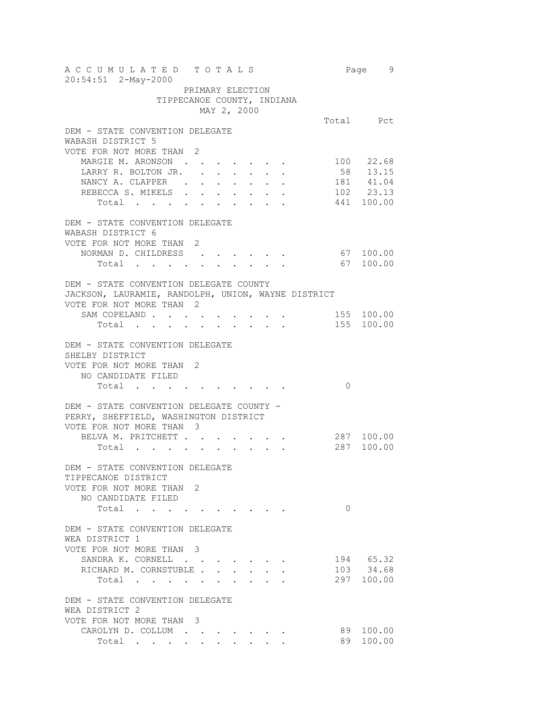A C C U M U L A T E D T O T A L S Page 9 20:54:51 2-May-2000 PRIMARY ELECTION TIPPECANOE COUNTY, INDIANA MAY 2, 2000 Total Pct DEM - STATE CONVENTION DELEGATE WABASH DISTRICT 5 VOTE FOR NOT MORE THAN 2 MARGIE M. ARONSON . . . . . . . . . 100 22.68 LARRY R. BOLTON JR. . . . . . . 58 13.15 NANCY A. CLAPPER . . . . . . . REBECCA S. MIKELS . . . . . . . 102 23.13 Total . . . . . . . . . . 441 100.00 DEM - STATE CONVENTION DELEGATE WABASH DISTRICT 6 VOTE FOR NOT MORE THAN 2 NORMAN D. CHILDRESS . . . . . . 67 100.00 Total . . . . . . . . . . 67 100.00 DEM - STATE CONVENTION DELEGATE COUNTY JACKSON, LAURAMIE, RANDOLPH, UNION, WAYNE DISTRICT VOTE FOR NOT MORE THAN 2 SAM COPELAND . . . . . . . . . 155 100.00 Total . . . . . . . . . . 155 100.00 DEM - STATE CONVENTION DELEGATE SHELBY DISTRICT VOTE FOR NOT MORE THAN 2 NO CANDIDATE FILED Total . . . . . . . . . . 0 DEM - STATE CONVENTION DELEGATE COUNTY -PERRY, SHEFFIELD, WASHINGTON DISTRICT VOTE FOR NOT MORE THAN 3 BELVA M. PRITCHETT . . . . . . . 287 100.00 Total . . . . . . . . . . 287 100.00 DEM - STATE CONVENTION DELEGATE TIPPECANOE DISTRICT VOTE FOR NOT MORE THAN 2 NO CANDIDATE FILED Total . . . . . . . . . . 0 DEM - STATE CONVENTION DELEGATE WEA DISTRICT 1 VOTE FOR NOT MORE THAN 3 SANDRA K. CORNELL . . . . . . . 194 65.32 RICHARD M. CORNSTUBLE . . . . . . 103 34.68 Total . . . . . . . . . . 297 100.00 DEM - STATE CONVENTION DELEGATE WEA DISTRICT 2 VOTE FOR NOT MORE THAN 3 CAROLYN D. COLLUM . . . . . . . 89 100.00<br>Total . . . . . . . . . . 89 100.00 Total . . . . . . . . . .